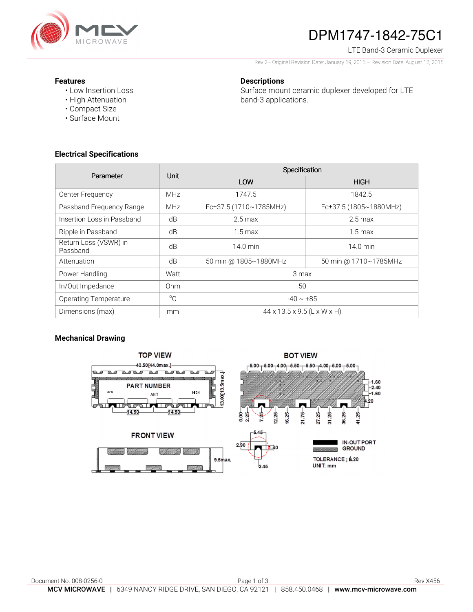

# DPM1747-1842-75C1

### LTE Band-3 Ceramic Duplexer

Rev 2– Original Revision Date: January 19, 2015 – Revision Date: August 12, 2015

#### **Features**

• Low Insertion Loss

### **Descriptions**

Surface mount ceramic duplexer developed for LTE band-3 applications.

- High Attenuation
- Compact Size
- Surface Mount

### **Electrical Specifications**

| Parameter                         | Unit        | Specification               |                        |
|-----------------------------------|-------------|-----------------------------|------------------------|
|                                   |             | LOW                         | <b>HIGH</b>            |
| Center Frequency                  | <b>MHz</b>  | 1747.5                      | 1842.5                 |
| Passband Frequency Range          | <b>MHz</b>  | Fc±37.5 (1710~1785MHz)      | Fc±37.5 (1805~1880MHz) |
| Insertion Loss in Passband        | dB          | $2.5 \,\mathrm{max}$        | $2.5 \text{ max}$      |
| Ripple in Passband                | dB          | $1.5 \text{ max}$           | $1.5 \,\mathrm{max}$   |
| Return Loss (VSWR) in<br>Passband | dB          | $14.0 \text{ min}$          | $14.0$ min             |
| Attenuation                       | dB          | 50 min @ 1805~1880MHz       | 50 min @ 1710~1785MHz  |
| Power Handling                    | Watt        | 3 max                       |                        |
| In/Out Impedance                  | Ohm         | 50                          |                        |
| <b>Operating Temperature</b>      | $^{\circ}C$ | $-40 \sim +85$              |                        |
| Dimensions (max)                  | mm          | 44 x 13.5 x 9.5 (L x W x H) |                        |

## **Mechanical Drawing**

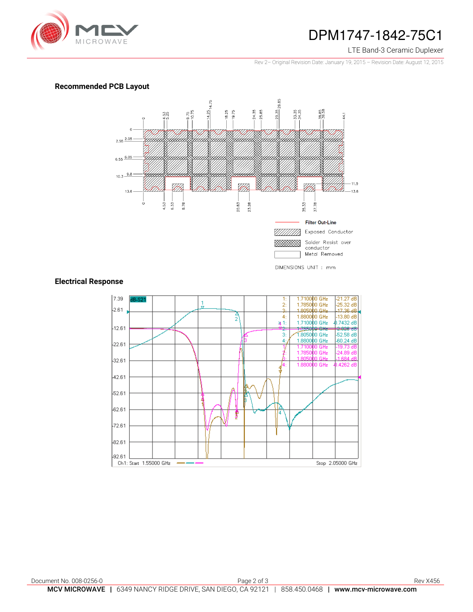

## DPM1747-1842-75C1

#### LTE Band-3 Ceramic Duplexer

Rev 2– Original Revision Date: January 19, 2015 – Revision Date: August 12, 2015

### **Recommended PCB Layout**



### **Electrical Response**